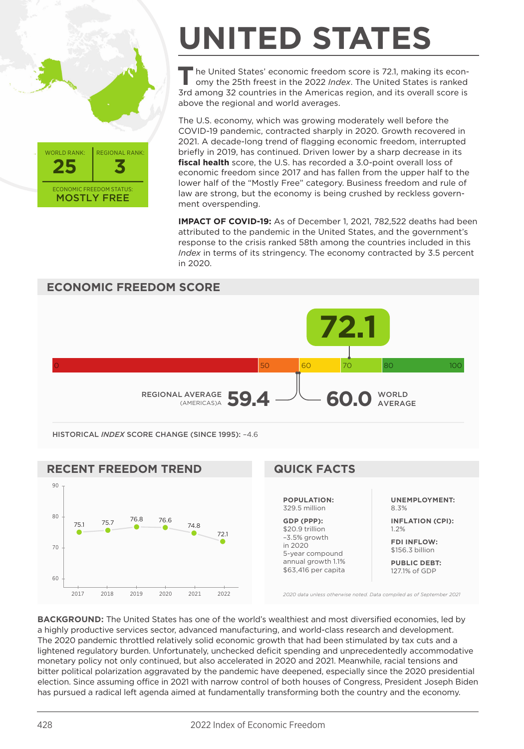

## **UNITED STATES**

The United States' economic freedom score is 72.1, making its econ-<br>Index on the 25th freest in the 2022 *Index*. The United States is ranked 3rd among 32 countries in the Americas region, and its overall score is above the regional and world averages.

The U.S. economy, which was growing moderately well before the COVID-19 pandemic, contracted sharply in 2020. Growth recovered in 2021. A decade-long trend of flagging economic freedom, interrupted briefly in 2019, has continued. Driven lower by a sharp decrease in its **fiscal health** score, the U.S. has recorded a 3.0-point overall loss of economic freedom since 2017 and has fallen from the upper half to the lower half of the "Mostly Free" category. Business freedom and rule of law are strong, but the economy is being crushed by reckless government overspending.

**IMPACT OF COVID-19:** As of December 1, 2021, 782,522 deaths had been attributed to the pandemic in the United States, and the government's response to the crisis ranked 58th among the countries included in this *Index* in terms of its stringency. The economy contracted by 3.5 percent in 2020.



**FDI INFLOW:** \$156.3 billion

**PUBLIC DEBT:** 127.1% of GDP

*2020 data unless otherwise noted. Data compiled as of September 2021*

**BACKGROUND:** The United States has one of the world's wealthiest and most diversified economies, led by a highly productive services sector, advanced manufacturing, and world-class research and development. The 2020 pandemic throttled relatively solid economic growth that had been stimulated by tax cuts and a lightened regulatory burden. Unfortunately, unchecked deficit spending and unprecedentedly accommodative monetary policy not only continued, but also accelerated in 2020 and 2021. Meanwhile, racial tensions and bitter political polarization aggravated by the pandemic have deepened, especially since the 2020 presidential election. Since assuming office in 2021 with narrow control of both houses of Congress, President Joseph Biden has pursued a radical left agenda aimed at fundamentally transforming both the country and the economy.

in 2020 5-year compound annual growth 1.1% \$63,416 per capita

2017 2018 2019 2020 2021 2022

60

70